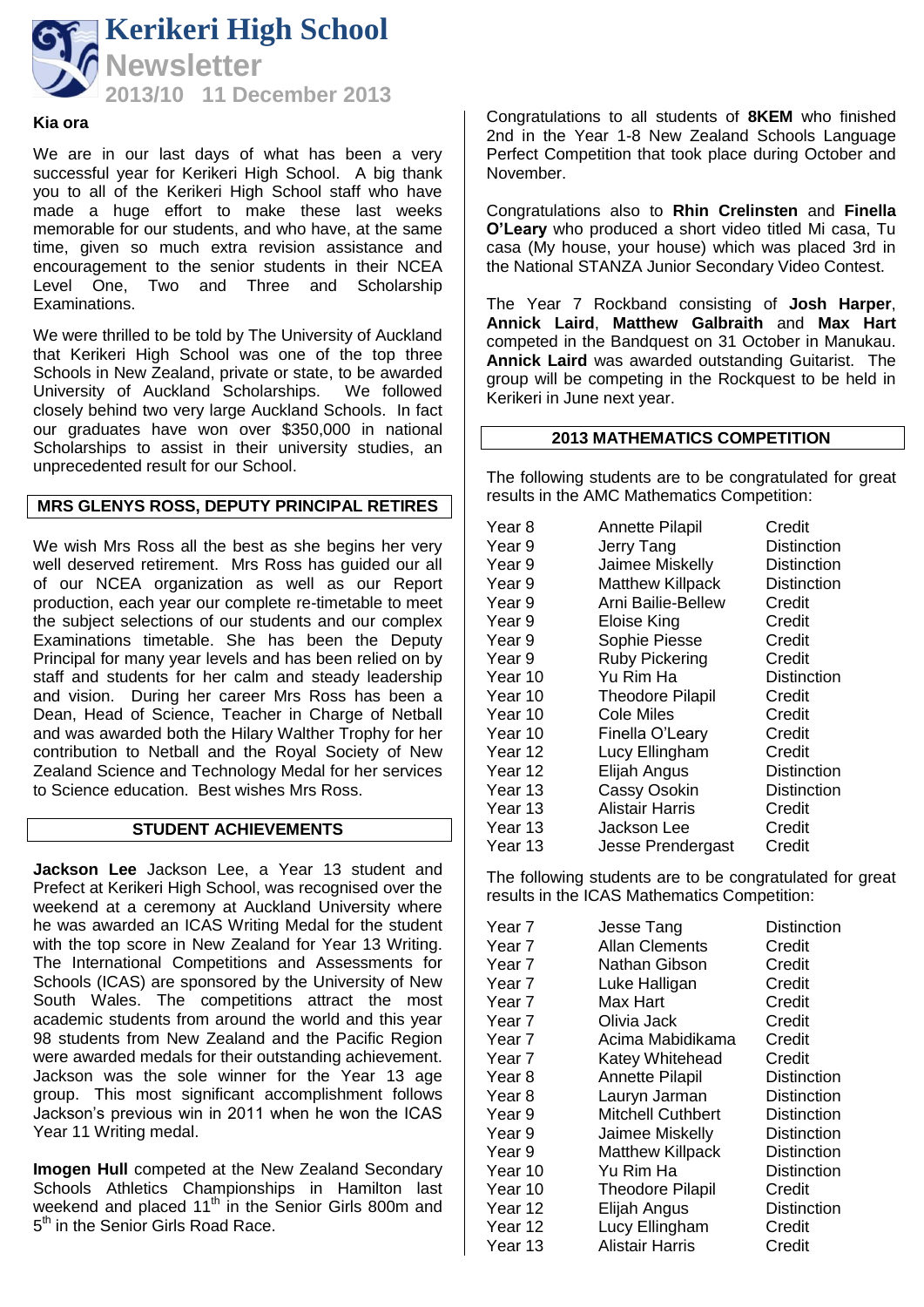

#### **Kia ora**

We are in our last days of what has been a very successful year for Kerikeri High School. A big thank you to all of the Kerikeri High School staff who have made a huge effort to make these last weeks memorable for our students, and who have, at the same time, given so much extra revision assistance and encouragement to the senior students in their NCEA Level One, Two and Three and Scholarship Examinations.

We were thrilled to be told by The University of Auckland that Kerikeri High School was one of the top three Schools in New Zealand, private or state, to be awarded University of Auckland Scholarships. We followed closely behind two very large Auckland Schools. In fact our graduates have won over \$350,000 in national Scholarships to assist in their university studies, an unprecedented result for our School.

# **MRS GLENYS ROSS, DEPUTY PRINCIPAL RETIRES**

We wish Mrs Ross all the best as she begins her very well deserved retirement. Mrs Ross has guided our all of our NCEA organization as well as our Report production, each year our complete re-timetable to meet the subject selections of our students and our complex Examinations timetable. She has been the Deputy Principal for many year levels and has been relied on by staff and students for her calm and steady leadership and vision. During her career Mrs Ross has been a Dean, Head of Science, Teacher in Charge of Netball and was awarded both the Hilary Walther Trophy for her contribution to Netball and the Royal Society of New Zealand Science and Technology Medal for her services to Science education. Best wishes Mrs Ross.

# **STUDENT ACHIEVEMENTS**

**Jackson Lee** Jackson Lee, a Year 13 student and Prefect at Kerikeri High School, was recognised over the weekend at a ceremony at Auckland University where he was awarded an ICAS Writing Medal for the student with the top score in New Zealand for Year 13 Writing. The International Competitions and Assessments for Schools (ICAS) are sponsored by the University of New South Wales. The competitions attract the most academic students from around the world and this year 98 students from New Zealand and the Pacific Region were awarded medals for their outstanding achievement. Jackson was the sole winner for the Year 13 age group. This most significant accomplishment follows Jackson's previous win in 2011 when he won the ICAS Year 11 Writing medal.

**Imogen Hull** competed at the New Zealand Secondary Schools Athletics Championships in Hamilton last weekend and placed  $11<sup>th</sup>$  in the Senior Girls 800m and 5<sup>th</sup> in the Senior Girls Road Race.

Congratulations to all students of **8KEM** who finished 2nd in the Year 1-8 New Zealand Schools Language Perfect Competition that took place during October and November.

Congratulations also to **Rhin Crelinsten** and **Finella O'Leary** who produced a short video titled Mi casa, Tu casa (My house, your house) which was placed 3rd in the National STANZA Junior Secondary Video Contest.

The Year 7 Rockband consisting of **Josh Harper**, **Annick Laird**, **Matthew Galbraith** and **Max Hart** competed in the Bandquest on 31 October in Manukau. **Annick Laird** was awarded outstanding Guitarist. The group will be competing in the Rockquest to be held in Kerikeri in June next year.

# **2013 MATHEMATICS COMPETITION**

The following students are to be congratulated for great results in the AMC Mathematics Competition:

| Year 8  | <b>Annette Pilapil</b>  | Credit             |
|---------|-------------------------|--------------------|
| Year 9  | Jerry Tang              | <b>Distinction</b> |
| Year 9  | Jaimee Miskelly         | <b>Distinction</b> |
| Year 9  | <b>Matthew Killpack</b> | <b>Distinction</b> |
| Year 9  | Arni Bailie-Bellew      | Credit             |
| Year 9  | Eloise King             | Credit             |
| Year 9  | Sophie Piesse           | Credit             |
| Year 9  | <b>Ruby Pickering</b>   | Credit             |
| Year 10 | Yu Rim Ha               | <b>Distinction</b> |
| Year 10 | <b>Theodore Pilapil</b> | Credit             |
| Year 10 | Cole Miles              | Credit             |
| Year 10 | Finella O'Leary         | Credit             |
| Year 12 | Lucy Ellingham          | Credit             |
| Year 12 | Elijah Angus            | <b>Distinction</b> |
| Year 13 | <b>Cassy Osokin</b>     | <b>Distinction</b> |
| Year 13 | <b>Alistair Harris</b>  | Credit             |
| Year 13 | Jackson Lee             | Credit             |
| Year 13 | Jesse Prendergast       | Credit             |

The following students are to be congratulated for great results in the ICAS Mathematics Competition:

| Year 7            | Jesse Tang               | <b>Distinction</b> |
|-------------------|--------------------------|--------------------|
| Year 7            | <b>Allan Clements</b>    | Credit             |
| Year 7            | Nathan Gibson            | Credit             |
| Year <sub>7</sub> | Luke Halligan            | Credit             |
| Year 7            | Max Hart                 | Credit             |
| Year 7            | Olivia Jack              | Credit             |
| Year 7            | Acima Mabidikama         | Credit             |
| Year 7            | Katey Whitehead          | Credit             |
| Year 8            | <b>Annette Pilapil</b>   | <b>Distinction</b> |
| Year 8            | Lauryn Jarman            | <b>Distinction</b> |
| Year 9            | <b>Mitchell Cuthbert</b> | <b>Distinction</b> |
| Year 9            | Jaimee Miskelly          | <b>Distinction</b> |
| Year 9            | <b>Matthew Killpack</b>  | <b>Distinction</b> |
| Year 10           | Yu Rim Ha                | <b>Distinction</b> |
| Year 10           | <b>Theodore Pilapil</b>  | Credit             |
| Year 12           | Elijah Angus             | <b>Distinction</b> |
| Year 12           | Lucy Ellingham           | Credit             |
| Year 13           | Alistair Harris          | Credit             |